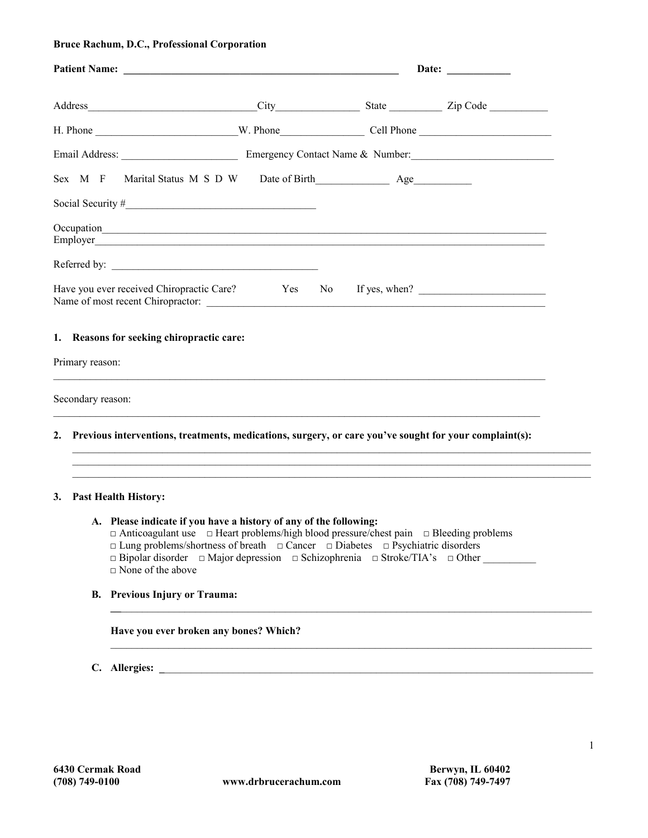# **Bruce Rachum, D.C., Professional Corporation**

| Sex M F                                                                                                                                                                                                                                                                                                                                                                                                                 | Marital Status M S D W Date of Birth Age                                                                        |  |  |  |                      |
|-------------------------------------------------------------------------------------------------------------------------------------------------------------------------------------------------------------------------------------------------------------------------------------------------------------------------------------------------------------------------------------------------------------------------|-----------------------------------------------------------------------------------------------------------------|--|--|--|----------------------|
|                                                                                                                                                                                                                                                                                                                                                                                                                         |                                                                                                                 |  |  |  |                      |
|                                                                                                                                                                                                                                                                                                                                                                                                                         | Employer                                                                                                        |  |  |  |                      |
|                                                                                                                                                                                                                                                                                                                                                                                                                         | Referred by:                                                                                                    |  |  |  |                      |
|                                                                                                                                                                                                                                                                                                                                                                                                                         | Have you ever received Chiropractic Care?                                                                       |  |  |  | Yes No If yes, when? |
| Primary reason:<br>Secondary reason:<br>2.                                                                                                                                                                                                                                                                                                                                                                              | Previous interventions, treatments, medications, surgery, or care you've sought for your complaint(s):          |  |  |  |                      |
| 3.                                                                                                                                                                                                                                                                                                                                                                                                                      | ,我们也不能在这里的时候,我们也不能在这里的时候,我们也不能会在这里的时候,我们也不能会在这里的时候,我们也不能会在这里的时候,我们也不能会在这里的时候,我们也<br><b>Past Health History:</b> |  |  |  |                      |
| A. Please indicate if you have a history of any of the following:<br>$\Box$ Anticoagulant use $\Box$ Heart problems/high blood pressure/chest pain $\Box$ Bleeding problems<br>$\Box$ Lung problems/shortness of breath $\Box$ Cancer $\Box$ Diabetes $\Box$ Psychiatric disorders<br>$\Box$ Bipolar disorder $\Box$ Major depression $\Box$ Schizophrenia $\Box$ Stroke/TIA's $\Box$ Other<br>$\Box$ None of the above |                                                                                                                 |  |  |  |                      |
| <b>B.</b> Previous Injury or Trauma:                                                                                                                                                                                                                                                                                                                                                                                    |                                                                                                                 |  |  |  |                      |
|                                                                                                                                                                                                                                                                                                                                                                                                                         | Have you ever broken any bones? Which?                                                                          |  |  |  |                      |

**C. Allergies: \_**\_\_\_\_\_\_\_\_\_\_\_\_\_\_\_\_\_\_\_\_\_\_\_\_\_\_\_\_\_\_\_\_\_\_\_\_\_\_\_\_\_\_\_\_\_\_\_\_\_\_\_\_\_\_\_\_\_\_\_\_\_\_\_\_\_\_\_\_\_\_\_\_\_\_\_\_\_\_\_\_\_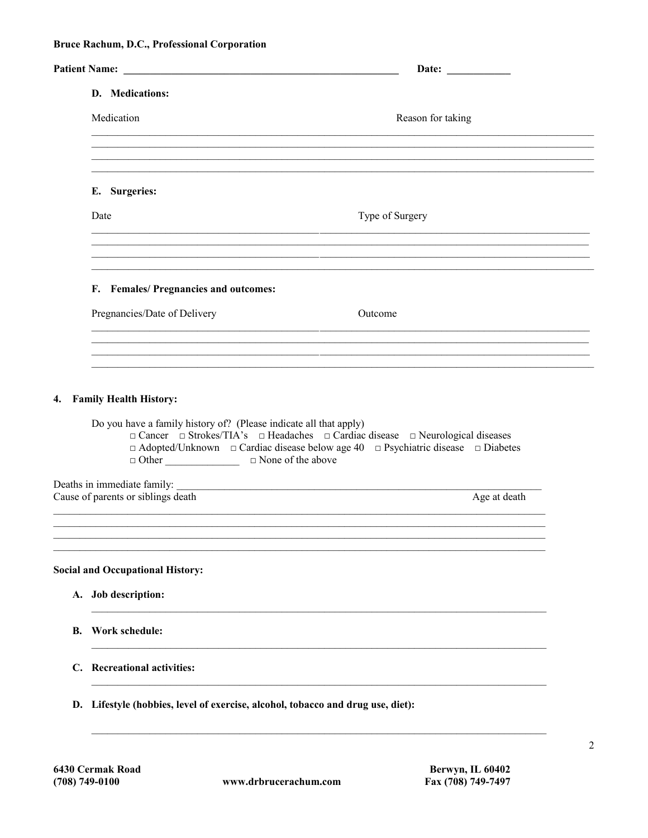|    |                                                                   | Date: $\qquad \qquad$                                                                                                                                                                   |  |  |  |  |
|----|-------------------------------------------------------------------|-----------------------------------------------------------------------------------------------------------------------------------------------------------------------------------------|--|--|--|--|
|    | D. Medications:                                                   |                                                                                                                                                                                         |  |  |  |  |
|    | Medication                                                        | Reason for taking                                                                                                                                                                       |  |  |  |  |
|    |                                                                   |                                                                                                                                                                                         |  |  |  |  |
|    | E. Surgeries:                                                     |                                                                                                                                                                                         |  |  |  |  |
|    | Date                                                              | Type of Surgery                                                                                                                                                                         |  |  |  |  |
|    |                                                                   |                                                                                                                                                                                         |  |  |  |  |
|    | F. Females/ Pregnancies and outcomes:                             |                                                                                                                                                                                         |  |  |  |  |
|    | Pregnancies/Date of Delivery                                      | Outcome                                                                                                                                                                                 |  |  |  |  |
|    |                                                                   |                                                                                                                                                                                         |  |  |  |  |
|    |                                                                   |                                                                                                                                                                                         |  |  |  |  |
|    | <b>Family Health History:</b>                                     |                                                                                                                                                                                         |  |  |  |  |
|    | Do you have a family history of? (Please indicate all that apply) | □ Cancer □ Strokes/TIA's □ Headaches □ Cardiac disease □ Neurological diseases<br>$\Box$ Adopted/Unknown $\Box$ Cardiac disease below age 40 $\Box$ Psychiatric disease $\Box$ Diabetes |  |  |  |  |
|    | Deaths in immediate family:                                       |                                                                                                                                                                                         |  |  |  |  |
|    | Cause of parents or siblings death                                | Age at death                                                                                                                                                                            |  |  |  |  |
|    |                                                                   |                                                                                                                                                                                         |  |  |  |  |
|    | <b>Social and Occupational History:</b>                           |                                                                                                                                                                                         |  |  |  |  |
| 4. | A. Job description:                                               |                                                                                                                                                                                         |  |  |  |  |
| В. | Work schedule:                                                    |                                                                                                                                                                                         |  |  |  |  |
| C. | <b>Recreational activities:</b>                                   |                                                                                                                                                                                         |  |  |  |  |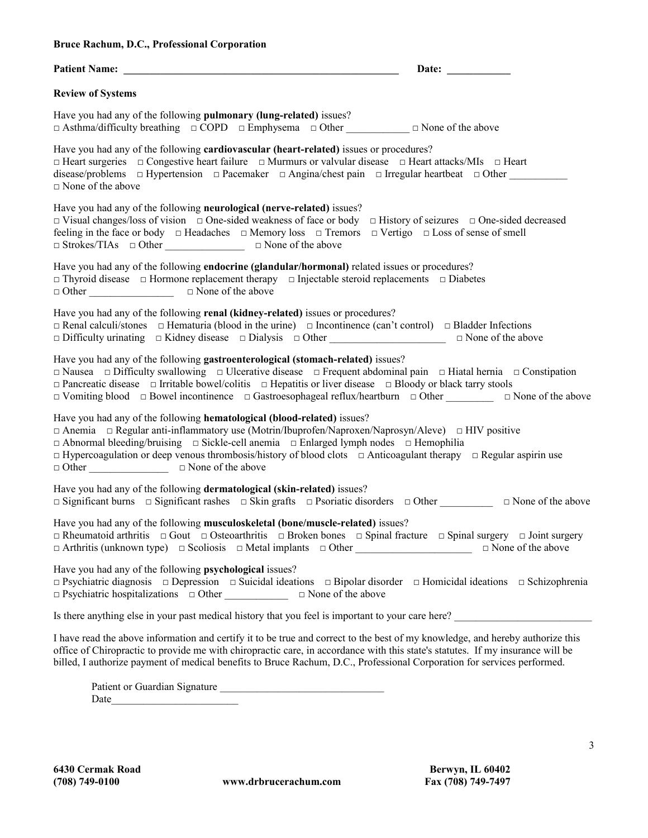### **Bruce Rachum, D.C., Professional Corporation**

|                                                                                                                                                                                                                                                                                                                                                                                                                                                                                                            | Date:                                                 |
|------------------------------------------------------------------------------------------------------------------------------------------------------------------------------------------------------------------------------------------------------------------------------------------------------------------------------------------------------------------------------------------------------------------------------------------------------------------------------------------------------------|-------------------------------------------------------|
| <b>Review of Systems</b>                                                                                                                                                                                                                                                                                                                                                                                                                                                                                   |                                                       |
| Have you had any of the following pulmonary (lung-related) issues?<br>$\Box$ Asthma/difficulty breathing $\Box$ COPD $\Box$ Emphysema $\Box$ Other $\Box$ $\Box$ None of the above                                                                                                                                                                                                                                                                                                                         |                                                       |
| Have you had any of the following cardiovascular (heart-related) issues or procedures?<br>$\Box$ Heart surgeries $\Box$ Congestive heart failure $\Box$ Murmurs or valvular disease $\Box$ Heart attacks/MIs $\Box$ Heart<br>disease/problems $\Box$ Hypertension $\Box$ Pacemaker $\Box$ Angina/chest pain $\Box$ Irregular heartbeat $\Box$ Other<br>$\Box$ None of the above                                                                                                                            |                                                       |
| Have you had any of the following neurological (nerve-related) issues?<br>$\Box$ Visual changes/loss of vision $\Box$ One-sided weakness of face or body<br>feeling in the face or body $\Box$ Headaches $\Box$ Memory loss $\Box$ Tremors $\Box$ Vertigo $\Box$ Loss of sense of smell<br>$\Box$ Strokes/TIAs $\Box$ Other $\Box$ $\Box$ None of the above                                                                                                                                                | $\Box$ History of seizures $\Box$ One-sided decreased |
| Have you had any of the following <b>endocrine</b> (glandular/hormonal) related issues or procedures?<br>$\Box$ Thyroid disease $\Box$ Hormone replacement therapy $\Box$ Injectable steroid replacements $\Box$ Diabetes<br>$\Box$ Other $\Box$ $\Box$ None of the above                                                                                                                                                                                                                                  |                                                       |
| Have you had any of the following renal (kidney-related) issues or procedures?<br>$\Box$ Renal calculi/stones $\Box$ Hematuria (blood in the urine) $\Box$ Incontinence (can't control) $\Box$ Bladder Infections                                                                                                                                                                                                                                                                                          |                                                       |
| Have you had any of the following gastroenterological (stomach-related) issues?<br>$\Box$ Nausea $\Box$ Difficulty swallowing $\Box$ Ulcerative disease $\Box$ Frequent abdominal pain $\Box$ Hiatal hernia $\Box$ Constipation<br>$\Box$ Pancreatic disease $\Box$ Irritable bowel/colitis $\Box$ Hepatitis or liver disease $\Box$ Bloody or black tarry stools<br>$\Box$ Vomiting blood $\Box$ Bowel incontinence $\Box$ Gastroesophageal reflux/heartburn $\Box$ Other $\Box$ $\Box$ None of the above |                                                       |
| Have you had any of the following hematological (blood-related) issues?<br>$\Box$ Anemia $\Box$ Regular anti-inflammatory use (Motrin/Ibuprofen/Naproxen/Naprosyn/Aleve) $\Box$ HIV positive<br>$\Box$ Abnormal bleeding/bruising $\Box$ Sickle-cell anemia $\Box$ Enlarged lymph nodes $\Box$ Hemophilia<br>$\Box$ Hypercoagulation or deep venous thrombosis/history of blood clots $\Box$ Anticoagulant therapy $\Box$ Regular aspirin use<br>□ Other <u>___________________</u> □ None of the above    |                                                       |
| Have you had any of the following dermatological (skin-related) issues?<br>$\Box$ Significant burns $\Box$ Significant rashes $\Box$ Skin grafts $\Box$ Psoriatic disorders $\Box$ Other $\Box$ None of the above                                                                                                                                                                                                                                                                                          |                                                       |
| Have you had any of the following musculoskeletal (bone/muscle-related) issues?<br>$\Box$ Rheumatoid arthritis $\Box$ Gout $\Box$ Osteoarthritis $\Box$ Broken bones $\Box$ Spinal fracture $\Box$ Spinal surgery $\Box$ Joint surgery<br>$\Box$ Arthritis (unknown type) $\Box$ Scoliosis $\Box$ Metal implants $\Box$ Other                                                                                                                                                                              | $\Box$ None of the above                              |
| Have you had any of the following <b>psychological</b> issues?<br>$\Box$ Psychiatric diagnosis $\Box$ Depression $\Box$ Suicidal ideations $\Box$ Bipolar disorder $\Box$ Homicidal ideations $\Box$ Schizophrenia<br>$\Box$ Psychiatric hospitalizations $\Box$ Other $\Box$ $\Box$ None of the above                                                                                                                                                                                                     |                                                       |
| Is there anything else in your past medical history that you feel is important to your care here?                                                                                                                                                                                                                                                                                                                                                                                                          |                                                       |
| I have read the above information and certify it to be true and correct to the best of my knowledge, and hereby authorize this<br>$\mathcal{L}^{\alpha}_{\text{max}}$ of Chinese sticks are settled in a settle discovered in a coordinate settled in the state of $\mathcal{L}^{\alpha}_{\text{max}}$                                                                                                                                                                                                     |                                                       |

office of Chiropractic to provide me with chiropractic care, in accordance with this state's statutes. If my insurance will be billed, I authorize payment of medical benefits to Bruce Rachum, D.C., Professional Corporation for services performed.

| Patient or Guardian Signature |  |
|-------------------------------|--|
| Date                          |  |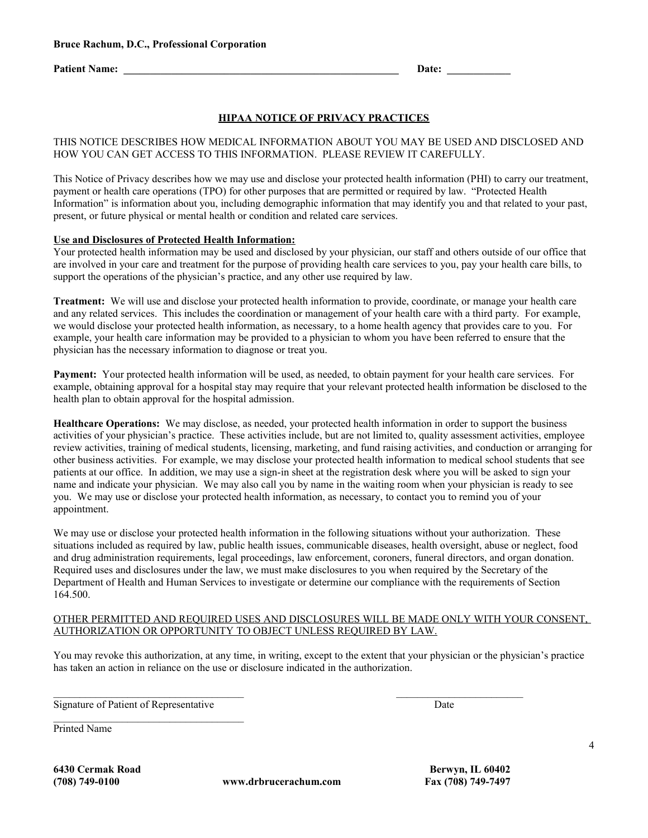**Patient Name:**  $\blacksquare$ 

## **HIPAA NOTICE OF PRIVACY PRACTICES**

#### THIS NOTICE DESCRIBES HOW MEDICAL INFORMATION ABOUT YOU MAY BE USED AND DISCLOSED AND HOW YOU CAN GET ACCESS TO THIS INFORMATION. PLEASE REVIEW IT CAREFULLY.

This Notice of Privacy describes how we may use and disclose your protected health information (PHI) to carry our treatment, payment or health care operations (TPO) for other purposes that are permitted or required by law. "Protected Health Information" is information about you, including demographic information that may identify you and that related to your past, present, or future physical or mental health or condition and related care services.

#### **Use and Disclosures of Protected Health Information:**

Your protected health information may be used and disclosed by your physician, our staff and others outside of our office that are involved in your care and treatment for the purpose of providing health care services to you, pay your health care bills, to support the operations of the physician's practice, and any other use required by law.

**Treatment:** We will use and disclose your protected health information to provide, coordinate, or manage your health care and any related services. This includes the coordination or management of your health care with a third party. For example, we would disclose your protected health information, as necessary, to a home health agency that provides care to you. For example, your health care information may be provided to a physician to whom you have been referred to ensure that the physician has the necessary information to diagnose or treat you.

**Payment:** Your protected health information will be used, as needed, to obtain payment for your health care services. For example, obtaining approval for a hospital stay may require that your relevant protected health information be disclosed to the health plan to obtain approval for the hospital admission.

**Healthcare Operations:** We may disclose, as needed, your protected health information in order to support the business activities of your physician's practice. These activities include, but are not limited to, quality assessment activities, employee review activities, training of medical students, licensing, marketing, and fund raising activities, and conduction or arranging for other business activities. For example, we may disclose your protected health information to medical school students that see patients at our office. In addition, we may use a sign-in sheet at the registration desk where you will be asked to sign your name and indicate your physician. We may also call you by name in the waiting room when your physician is ready to see you. We may use or disclose your protected health information, as necessary, to contact you to remind you of your appointment.

We may use or disclose your protected health information in the following situations without your authorization. These situations included as required by law, public health issues, communicable diseases, health oversight, abuse or neglect, food and drug administration requirements, legal proceedings, law enforcement, coroners, funeral directors, and organ donation. Required uses and disclosures under the law, we must make disclosures to you when required by the Secretary of the Department of Health and Human Services to investigate or determine our compliance with the requirements of Section 164.500.

#### OTHER PERMITTED AND REQUIRED USES AND DISCLOSURES WILL BE MADE ONLY WITH YOUR CONSENT, AUTHORIZATION OR OPPORTUNITY TO OBJECT UNLESS REQUIRED BY LAW.

You may revoke this authorization, at any time, in writing, except to the extent that your physician or the physician's practice has taken an action in reliance on the use or disclosure indicated in the authorization.

Signature of Patient of Representative Date

\_\_\_\_\_\_\_\_\_\_\_\_\_\_\_\_\_\_\_\_\_\_\_\_\_\_\_\_\_\_\_\_\_\_\_\_

Printed Name

**6430 Cermak Road Berwyn, IL 60402**

**(708) 749-0100 www.drbrucerachum.com Fax (708) 749-7497**